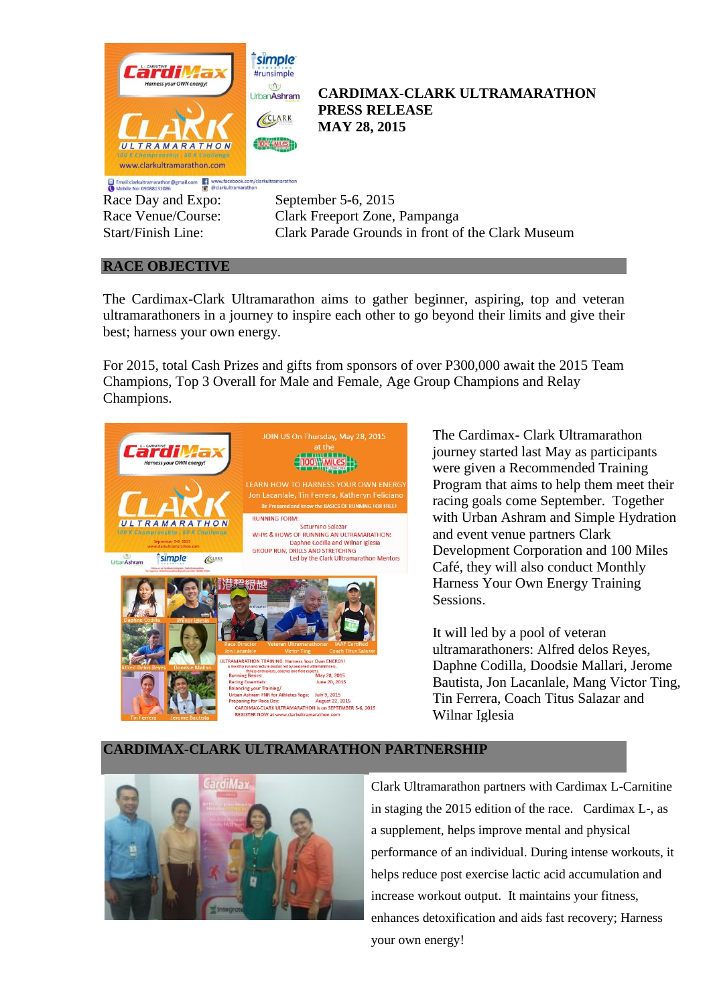

Race Day and Expo: September 5-6, 2015

Race Venue/Course: Clark Freeport Zone, Pampanga Start/Finish Line: Clark Parade Grounds in front of the Clark Museum

# **RACE OBJECTIVE**

The Cardimax-Clark Ultramarathon aims to gather beginner, aspiring, top and veteran ultramarathoners in a journey to inspire each other to go beyond their limits and give their best; harness your own energy.

For 2015, total Cash Prizes and gifts from sponsors of over P300,000 await the 2015 Team Champions, Top 3 Overall for Male and Female, Age Group Champions and Relay Champions.



The Cardimax- Clark Ultramarathon journey started last May as participants were given a Recommended Training Program that aims to help them meet their racing goals come September. Together with Urban Ashram and Simple Hydration and event venue partners Clark Development Corporation and 100 Miles Café, they will also conduct Monthly Harness Your Own Energy Training Sessions.

It will led by a pool of veteran ultramarathoners: Alfred delos Reyes, Daphne Codilla, Doodsie Mallari, Jerome Bautista, Jon Lacanlale, Mang Victor Ting, Tin Ferrera, Coach Titus Salazar and Wilnar Iglesia

## **CARDIMAX-CLARK ULTRAMARATHON PARTNERSHIP**



Clark Ultramarathon partners with Cardimax L-Carnitine in staging the 2015 edition of the race. Cardimax L-, as a supplement, helps improve mental and physical performance of an individual. During intense workouts, it helps reduce post exercise lactic acid accumulation and increase workout output. It maintains your fitness, enhances detoxification and aids fast recovery; Harness your own energy!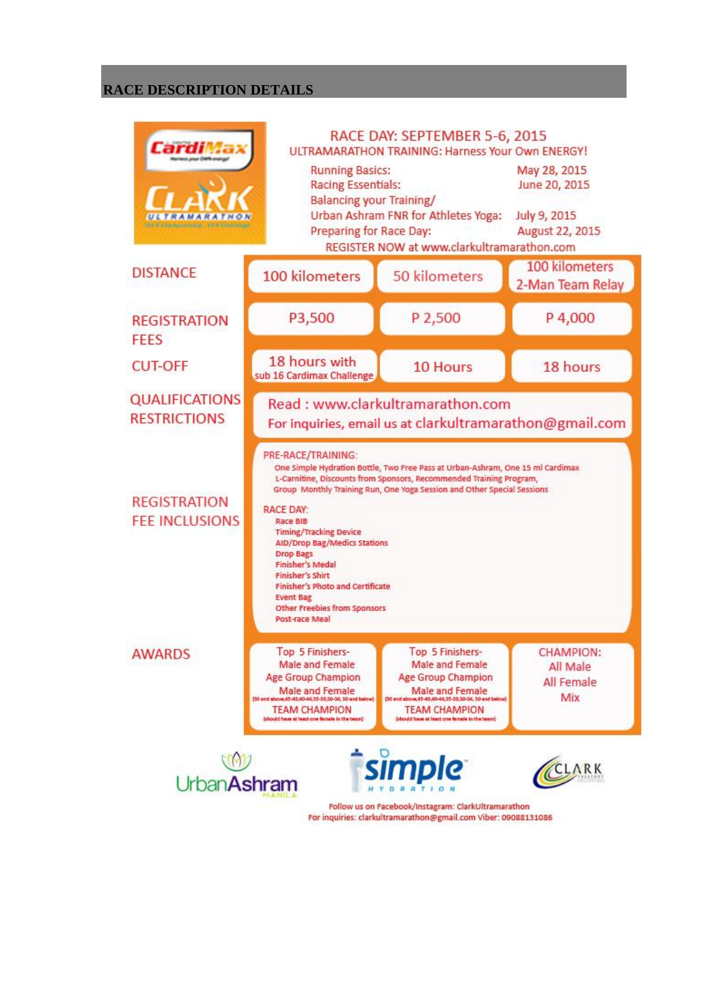## **RACE DESCRIPTION DETAILS**

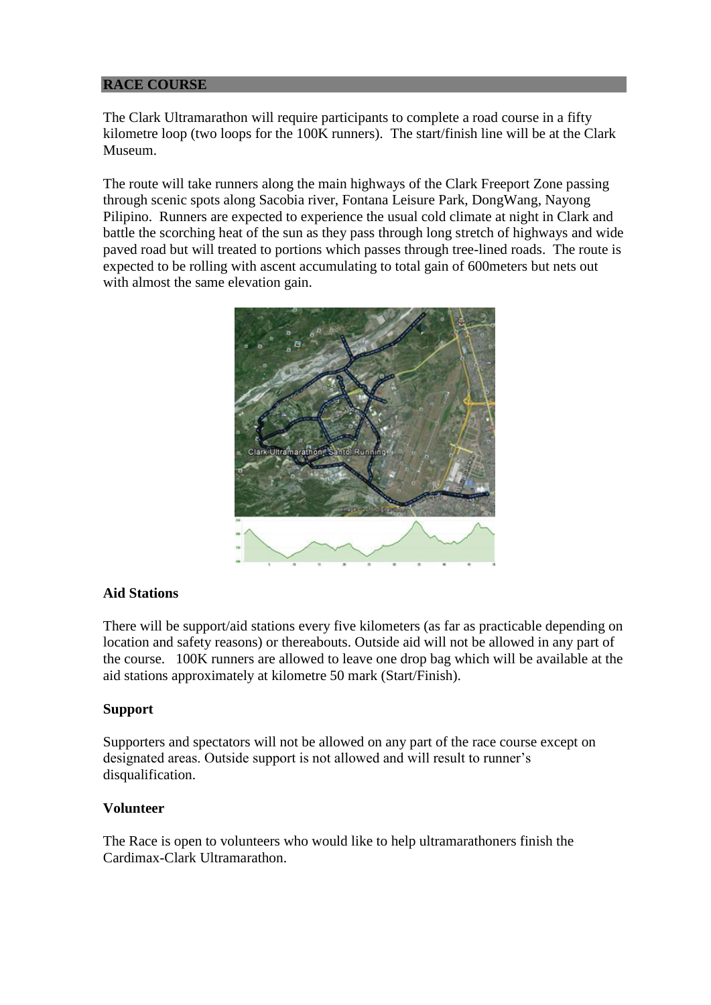## **RACE COURSE**

The Clark Ultramarathon will require participants to complete a road course in a fifty kilometre loop (two loops for the 100K runners). The start/finish line will be at the Clark Museum.

The route will take runners along the main highways of the Clark Freeport Zone passing through scenic spots along Sacobia river, Fontana Leisure Park, DongWang, Nayong Pilipino. Runners are expected to experience the usual cold climate at night in Clark and battle the scorching heat of the sun as they pass through long stretch of highways and wide paved road but will treated to portions which passes through tree-lined roads. The route is expected to be rolling with ascent accumulating to total gain of 600meters but nets out with almost the same elevation gain.



## **Aid Stations**

There will be support/aid stations every five kilometers (as far as practicable depending on location and safety reasons) or thereabouts. Outside aid will not be allowed in any part of the course. 100K runners are allowed to leave one drop bag which will be available at the aid stations approximately at kilometre 50 mark (Start/Finish).

## **Support**

Supporters and spectators will not be allowed on any part of the race course except on designated areas. Outside support is not allowed and will result to runner's disqualification.

## **Volunteer**

The Race is open to volunteers who would like to help ultramarathoners finish the Cardimax-Clark Ultramarathon.